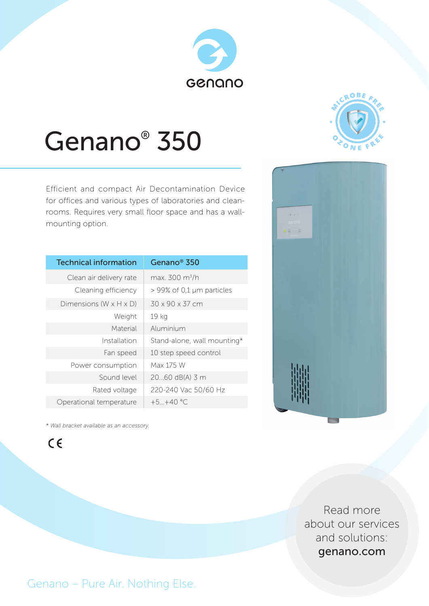# GCNQNO



## Genano® 350

Efficient and compact Air Decontamination Device for offices and various types of laboratories and cleanrooms. Requires very small floor space and has a wallmounting option.

| <b>Technical information</b>         | Genano <sup>®</sup> 350     |
|--------------------------------------|-----------------------------|
| Clean air delivery rate              | max. $300 \text{ m}^3/h$    |
| Cleaning efficiency                  | $>$ 99% of 0,1 µm particles |
| Dimensions (W $\times$ H $\times$ D) | 30 x 90 x 37 cm             |
| Weight                               | 19 kg                       |
| Material                             | Aluminium                   |
| Installation                         | Stand-alone, wall mounting* |
| Fan speed                            | 10 step speed control       |
| Power consumption                    | Max 175 W                   |
| Sound level                          | 2060 dB(A) 3 m              |
| Rated voltage                        | 220-240 Vac 50/60 Hz        |
| Operational temperature              | $+5+40$ °C                  |



*\* Wall bracket available as an accessory.*

 $C \in$ 

Read more about our services and solutions: genano.com

Genano – Pure Air. Nothing Else.